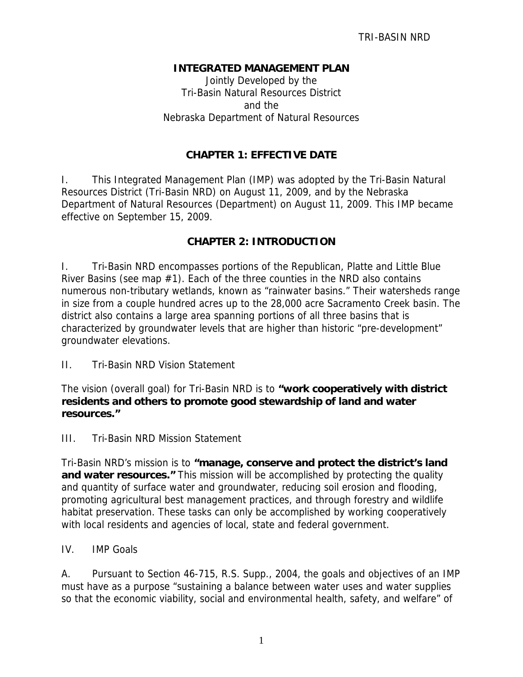## **INTEGRATED MANAGEMENT PLAN**

Jointly Developed by the Tri-Basin Natural Resources District and the Nebraska Department of Natural Resources

# **CHAPTER 1: EFFECTIVE DATE**

I. This Integrated Management Plan (IMP) was adopted by the Tri-Basin Natural Resources District (Tri-Basin NRD) on August 11, 2009, and by the Nebraska Department of Natural Resources (Department) on August 11, 2009. This IMP became effective on September 15, 2009.

## **CHAPTER 2: INTRODUCTION**

I. Tri-Basin NRD encompasses portions of the Republican, Platte and Little Blue River Basins (see map  $#1$ ). Each of the three counties in the NRD also contains numerous non-tributary wetlands, known as "rainwater basins." Their watersheds range in size from a couple hundred acres up to the 28,000 acre Sacramento Creek basin. The district also contains a large area spanning portions of all three basins that is characterized by groundwater levels that are higher than historic "pre-development" groundwater elevations.

II. Tri-Basin NRD Vision Statement

The vision (overall goal) for Tri-Basin NRD is to **"work cooperatively with district residents and others to promote good stewardship of land and water resources."** 

III. Tri-Basin NRD Mission Statement

Tri-Basin NRD's mission is to **"manage, conserve and protect the district's land and water resources."** This mission will be accomplished by protecting the quality and quantity of surface water and groundwater, reducing soil erosion and flooding, promoting agricultural best management practices, and through forestry and wildlife habitat preservation. These tasks can only be accomplished by working cooperatively with local residents and agencies of local, state and federal government.

IV. IMP Goals

A. Pursuant to Section 46-715, R.S. Supp., 2004, the goals and objectives of an IMP must have as a purpose "sustaining a balance between water uses and water supplies so that the economic viability, social and environmental health, safety, and welfare" of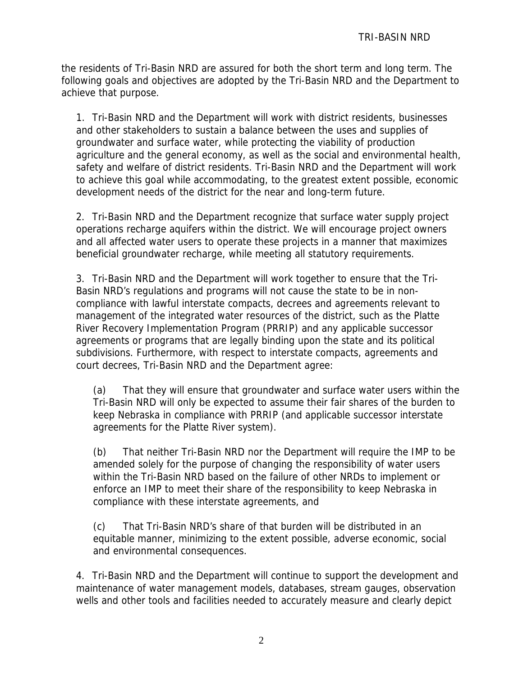the residents of Tri-Basin NRD are assured for both the short term and long term. The following goals and objectives are adopted by the Tri-Basin NRD and the Department to achieve that purpose.

1. Tri-Basin NRD and the Department will work with district residents, businesses and other stakeholders to sustain a balance between the uses and supplies of groundwater and surface water, while protecting the viability of production agriculture and the general economy, as well as the social and environmental health, safety and welfare of district residents. Tri-Basin NRD and the Department will work to achieve this goal while accommodating, to the greatest extent possible, economic development needs of the district for the near and long-term future.

2. Tri-Basin NRD and the Department recognize that surface water supply project operations recharge aquifers within the district. We will encourage project owners and all affected water users to operate these projects in a manner that maximizes beneficial groundwater recharge, while meeting all statutory requirements.

3. Tri-Basin NRD and the Department will work together to ensure that the Tri-Basin NRD's regulations and programs will not cause the state to be in noncompliance with lawful interstate compacts, decrees and agreements relevant to management of the integrated water resources of the district, such as the Platte River Recovery Implementation Program (PRRIP) and any applicable successor agreements or programs that are legally binding upon the state and its political subdivisions. Furthermore, with respect to interstate compacts, agreements and court decrees, Tri-Basin NRD and the Department agree:

(a) That they will ensure that groundwater and surface water users within the Tri-Basin NRD will only be expected to assume their fair shares of the burden to keep Nebraska in compliance with PRRIP (and applicable successor interstate agreements for the Platte River system).

(b) That neither Tri-Basin NRD nor the Department will require the IMP to be amended solely for the purpose of changing the responsibility of water users within the Tri-Basin NRD based on the failure of other NRDs to implement or enforce an IMP to meet their share of the responsibility to keep Nebraska in compliance with these interstate agreements, and

(c) That Tri-Basin NRD's share of that burden will be distributed in an equitable manner, minimizing to the extent possible, adverse economic, social and environmental consequences.

4. Tri-Basin NRD and the Department will continue to support the development and maintenance of water management models, databases, stream gauges, observation wells and other tools and facilities needed to accurately measure and clearly depict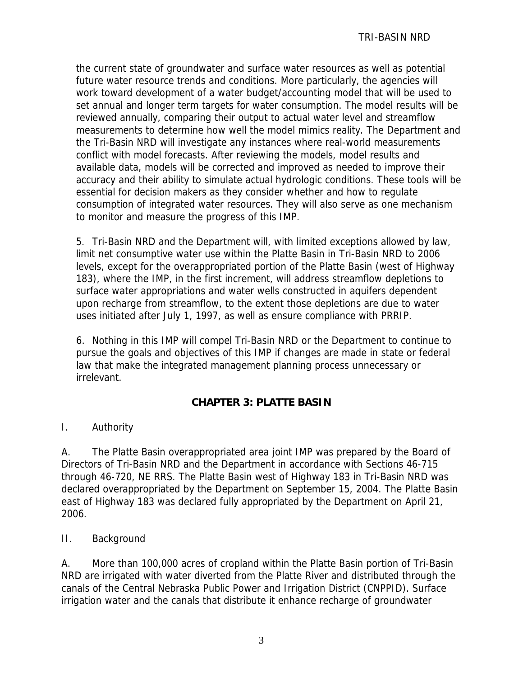the current state of groundwater and surface water resources as well as potential future water resource trends and conditions. More particularly, the agencies will work toward development of a water budget/accounting model that will be used to set annual and longer term targets for water consumption. The model results will be reviewed annually, comparing their output to actual water level and streamflow measurements to determine how well the model mimics reality. The Department and the Tri-Basin NRD will investigate any instances where real-world measurements conflict with model forecasts. After reviewing the models, model results and available data, models will be corrected and improved as needed to improve their accuracy and their ability to simulate actual hydrologic conditions. These tools will be essential for decision makers as they consider whether and how to regulate consumption of integrated water resources. They will also serve as one mechanism to monitor and measure the progress of this IMP.

5. Tri-Basin NRD and the Department will, with limited exceptions allowed by law, limit net consumptive water use within the Platte Basin in Tri-Basin NRD to 2006 levels, except for the overappropriated portion of the Platte Basin (west of Highway 183), where the IMP, in the first increment, will address streamflow depletions to surface water appropriations and water wells constructed in aquifers dependent upon recharge from streamflow, to the extent those depletions are due to water uses initiated after July 1, 1997, as well as ensure compliance with PRRIP.

6. Nothing in this IMP will compel Tri-Basin NRD or the Department to continue to pursue the goals and objectives of this IMP if changes are made in state or federal law that make the integrated management planning process unnecessary or irrelevant.

# **CHAPTER 3: PLATTE BASIN**

I. Authority

A. The Platte Basin overappropriated area joint IMP was prepared by the Board of Directors of Tri-Basin NRD and the Department in accordance with Sections 46-715 through 46-720, NE RRS. The Platte Basin west of Highway 183 in Tri-Basin NRD was declared overappropriated by the Department on September 15, 2004. The Platte Basin east of Highway 183 was declared fully appropriated by the Department on April 21, 2006.

# II. Background

A. More than 100,000 acres of cropland within the Platte Basin portion of Tri-Basin NRD are irrigated with water diverted from the Platte River and distributed through the canals of the Central Nebraska Public Power and Irrigation District (CNPPID). Surface irrigation water and the canals that distribute it enhance recharge of groundwater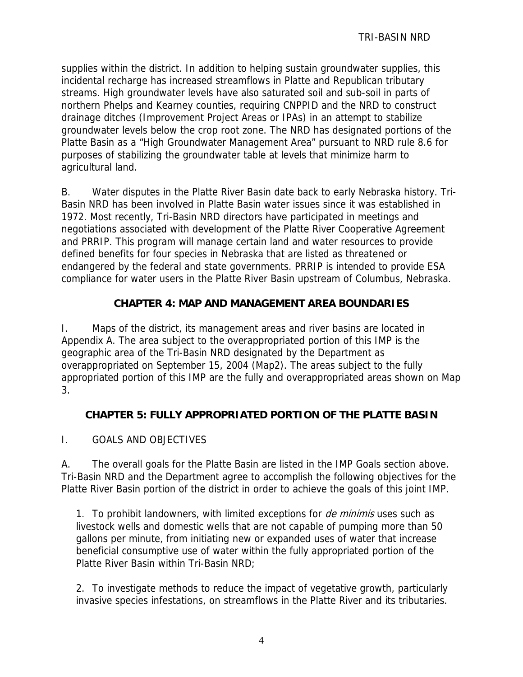supplies within the district. In addition to helping sustain groundwater supplies, this incidental recharge has increased streamflows in Platte and Republican tributary streams. High groundwater levels have also saturated soil and sub-soil in parts of northern Phelps and Kearney counties, requiring CNPPID and the NRD to construct drainage ditches (Improvement Project Areas or IPAs) in an attempt to stabilize groundwater levels below the crop root zone. The NRD has designated portions of the Platte Basin as a "High Groundwater Management Area" pursuant to NRD rule 8.6 for purposes of stabilizing the groundwater table at levels that minimize harm to agricultural land.

B. Water disputes in the Platte River Basin date back to early Nebraska history. Tri-Basin NRD has been involved in Platte Basin water issues since it was established in 1972. Most recently, Tri-Basin NRD directors have participated in meetings and negotiations associated with development of the Platte River Cooperative Agreement and PRRIP. This program will manage certain land and water resources to provide defined benefits for four species in Nebraska that are listed as threatened or endangered by the federal and state governments. PRRIP is intended to provide ESA compliance for water users in the Platte River Basin upstream of Columbus, Nebraska.

# **CHAPTER 4: MAP AND MANAGEMENT AREA BOUNDARIES**

I. Maps of the district, its management areas and river basins are located in Appendix A. The area subject to the overappropriated portion of this IMP is the geographic area of the Tri-Basin NRD designated by the Department as overappropriated on September 15, 2004 (Map2). The areas subject to the fully appropriated portion of this IMP are the fully and overappropriated areas shown on Map 3.

# **CHAPTER 5: FULLY APPROPRIATED PORTION OF THE PLATTE BASIN**

I. GOALS AND OBJECTIVES

A. The overall goals for the Platte Basin are listed in the IMP Goals section above. Tri-Basin NRD and the Department agree to accomplish the following objectives for the Platte River Basin portion of the district in order to achieve the goals of this joint IMP.

1. To prohibit landowners, with limited exceptions for *de minimis* uses such as livestock wells and domestic wells that are not capable of pumping more than 50 gallons per minute, from initiating new or expanded uses of water that increase beneficial consumptive use of water within the fully appropriated portion of the Platte River Basin within Tri-Basin NRD;

2. To investigate methods to reduce the impact of vegetative growth, particularly invasive species infestations, on streamflows in the Platte River and its tributaries.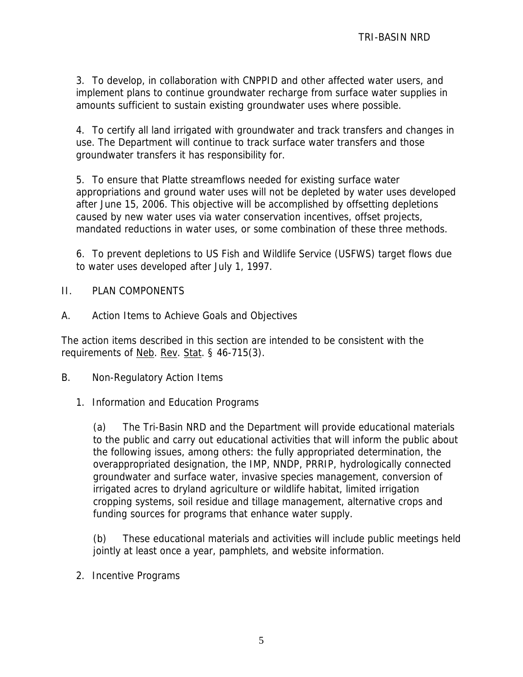3. To develop, in collaboration with CNPPID and other affected water users, and implement plans to continue groundwater recharge from surface water supplies in amounts sufficient to sustain existing groundwater uses where possible.

4. To certify all land irrigated with groundwater and track transfers and changes in use. The Department will continue to track surface water transfers and those groundwater transfers it has responsibility for.

5. To ensure that Platte streamflows needed for existing surface water appropriations and ground water uses will not be depleted by water uses developed after June 15, 2006. This objective will be accomplished by offsetting depletions caused by new water uses via water conservation incentives, offset projects, mandated reductions in water uses, or some combination of these three methods.

6. To prevent depletions to US Fish and Wildlife Service (USFWS) target flows due to water uses developed after July 1, 1997.

- II. PLAN COMPONENTS
- A. Action Items to Achieve Goals and Objectives

The action items described in this section are intended to be consistent with the requirements of Neb. Rev. Stat. § 46-715(3).

- B. Non-Regulatory Action Items
	- 1. Information and Education Programs

(a) The Tri-Basin NRD and the Department will provide educational materials to the public and carry out educational activities that will inform the public about the following issues, among others: the fully appropriated determination, the overappropriated designation, the IMP, NNDP, PRRIP, hydrologically connected groundwater and surface water, invasive species management, conversion of irrigated acres to dryland agriculture or wildlife habitat, limited irrigation cropping systems, soil residue and tillage management, alternative crops and funding sources for programs that enhance water supply.

(b) These educational materials and activities will include public meetings held jointly at least once a year, pamphlets, and website information.

2. Incentive Programs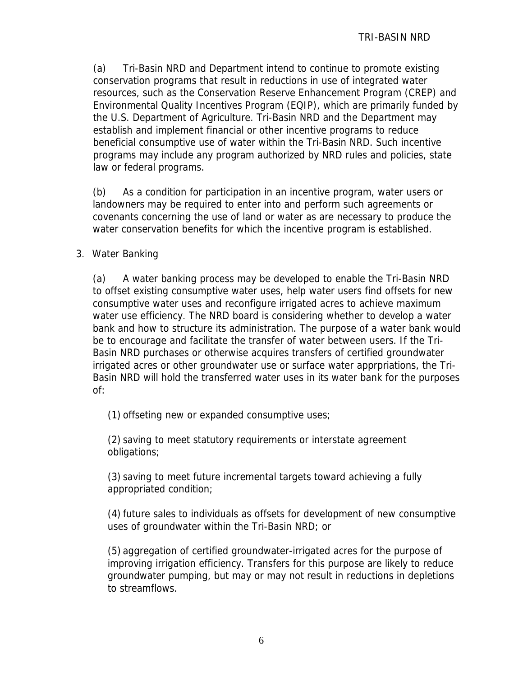(a) Tri-Basin NRD and Department intend to continue to promote existing conservation programs that result in reductions in use of integrated water resources, such as the Conservation Reserve Enhancement Program (CREP) and Environmental Quality Incentives Program (EQIP), which are primarily funded by the U.S. Department of Agriculture. Tri-Basin NRD and the Department may establish and implement financial or other incentive programs to reduce beneficial consumptive use of water within the Tri-Basin NRD. Such incentive programs may include any program authorized by NRD rules and policies, state law or federal programs.

(b) As a condition for participation in an incentive program, water users or landowners may be required to enter into and perform such agreements or covenants concerning the use of land or water as are necessary to produce the water conservation benefits for which the incentive program is established.

## 3. Water Banking

(a) A water banking process may be developed to enable the Tri-Basin NRD to offset existing consumptive water uses, help water users find offsets for new consumptive water uses and reconfigure irrigated acres to achieve maximum water use efficiency. The NRD board is considering whether to develop a water bank and how to structure its administration. The purpose of a water bank would be to encourage and facilitate the transfer of water between users. If the Tri-Basin NRD purchases or otherwise acquires transfers of certified groundwater irrigated acres or other groundwater use or surface water apprpriations, the Tri-Basin NRD will hold the transferred water uses in its water bank for the purposes of:

(1) offseting new or expanded consumptive uses;

(2) saving to meet statutory requirements or interstate agreement obligations;

(3) saving to meet future incremental targets toward achieving a fully appropriated condition;

(4) future sales to individuals as offsets for development of new consumptive uses of groundwater within the Tri-Basin NRD; or

(5) aggregation of certified groundwater-irrigated acres for the purpose of improving irrigation efficiency. Transfers for this purpose are likely to reduce groundwater pumping, but may or may not result in reductions in depletions to streamflows.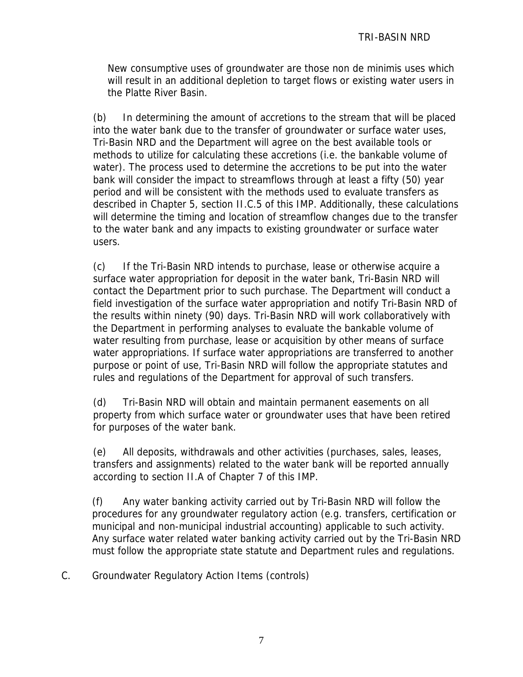New consumptive uses of groundwater are those non de minimis uses which will result in an additional depletion to target flows or existing water users in the Platte River Basin.

(b) In determining the amount of accretions to the stream that will be placed into the water bank due to the transfer of groundwater or surface water uses, Tri-Basin NRD and the Department will agree on the best available tools or methods to utilize for calculating these accretions (i.e. the bankable volume of water). The process used to determine the accretions to be put into the water bank will consider the impact to streamflows through at least a fifty (50) year period and will be consistent with the methods used to evaluate transfers as described in Chapter 5, section II.C.5 of this IMP. Additionally, these calculations will determine the timing and location of streamflow changes due to the transfer to the water bank and any impacts to existing groundwater or surface water users.

(c) If the Tri-Basin NRD intends to purchase, lease or otherwise acquire a surface water appropriation for deposit in the water bank, Tri-Basin NRD will contact the Department prior to such purchase. The Department will conduct a field investigation of the surface water appropriation and notify Tri-Basin NRD of the results within ninety (90) days. Tri-Basin NRD will work collaboratively with the Department in performing analyses to evaluate the bankable volume of water resulting from purchase, lease or acquisition by other means of surface water appropriations. If surface water appropriations are transferred to another purpose or point of use, Tri-Basin NRD will follow the appropriate statutes and rules and regulations of the Department for approval of such transfers.

(d) Tri-Basin NRD will obtain and maintain permanent easements on all property from which surface water or groundwater uses that have been retired for purposes of the water bank.

(e) All deposits, withdrawals and other activities (purchases, sales, leases, transfers and assignments) related to the water bank will be reported annually according to section II.A of Chapter 7 of this IMP.

(f) Any water banking activity carried out by Tri-Basin NRD will follow the procedures for any groundwater regulatory action (e.g. transfers, certification or municipal and non-municipal industrial accounting) applicable to such activity. Any surface water related water banking activity carried out by the Tri-Basin NRD must follow the appropriate state statute and Department rules and regulations.

C. Groundwater Regulatory Action Items (controls)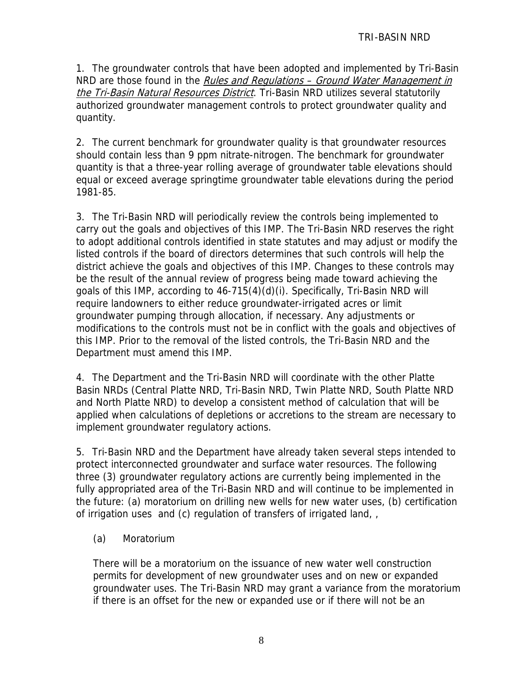1. The groundwater controls that have been adopted and implemented by Tri-Basin NRD are those found in the Rules and Regulations – Ground Water Management in the Tri-Basin Natural Resources District</u>. Tri-Basin NRD utilizes several statutorily authorized groundwater management controls to protect groundwater quality and quantity.

2. The current benchmark for groundwater quality is that groundwater resources should contain less than 9 ppm nitrate-nitrogen. The benchmark for groundwater quantity is that a three-year rolling average of groundwater table elevations should equal or exceed average springtime groundwater table elevations during the period 1981-85.

3. The Tri-Basin NRD will periodically review the controls being implemented to carry out the goals and objectives of this IMP. The Tri-Basin NRD reserves the right to adopt additional controls identified in state statutes and may adjust or modify the listed controls if the board of directors determines that such controls will help the district achieve the goals and objectives of this IMP. Changes to these controls may be the result of the annual review of progress being made toward achieving the goals of this IMP, according to 46-715(4)(d)(i). Specifically, Tri-Basin NRD will require landowners to either reduce groundwater-irrigated acres or limit groundwater pumping through allocation, if necessary. Any adjustments or modifications to the controls must not be in conflict with the goals and objectives of this IMP. Prior to the removal of the listed controls, the Tri-Basin NRD and the Department must amend this IMP.

4. The Department and the Tri-Basin NRD will coordinate with the other Platte Basin NRDs (Central Platte NRD, Tri-Basin NRD, Twin Platte NRD, South Platte NRD and North Platte NRD) to develop a consistent method of calculation that will be applied when calculations of depletions or accretions to the stream are necessary to implement groundwater regulatory actions.

5. Tri-Basin NRD and the Department have already taken several steps intended to protect interconnected groundwater and surface water resources. The following three (3) groundwater regulatory actions are currently being implemented in the fully appropriated area of the Tri-Basin NRD and will continue to be implemented in the future: (a) moratorium on drilling new wells for new water uses, (b) certification of irrigation uses and (c) regulation of transfers of irrigated land, ,

(a) Moratorium

There will be a moratorium on the issuance of new water well construction permits for development of new groundwater uses and on new or expanded groundwater uses. The Tri-Basin NRD may grant a variance from the moratorium if there is an offset for the new or expanded use or if there will not be an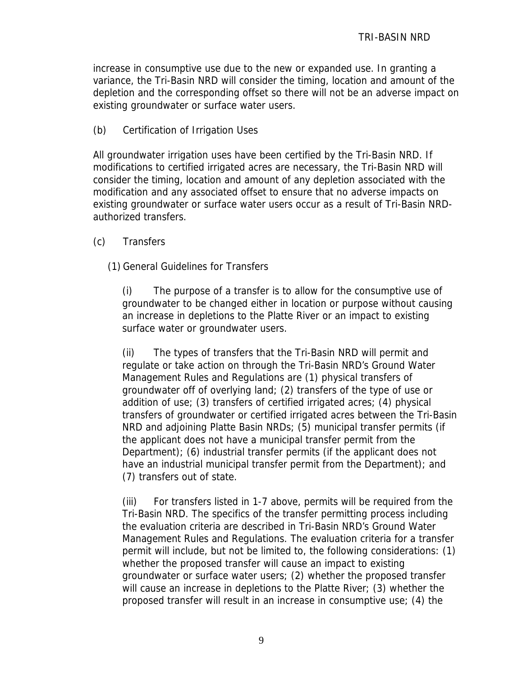increase in consumptive use due to the new or expanded use. In granting a variance, the Tri-Basin NRD will consider the timing, location and amount of the depletion and the corresponding offset so there will not be an adverse impact on existing groundwater or surface water users.

(b) Certification of Irrigation Uses

All groundwater irrigation uses have been certified by the Tri-Basin NRD. If modifications to certified irrigated acres are necessary, the Tri-Basin NRD will consider the timing, location and amount of any depletion associated with the modification and any associated offset to ensure that no adverse impacts on existing groundwater or surface water users occur as a result of Tri-Basin NRDauthorized transfers.

- (c) Transfers
	- (1) General Guidelines for Transfers

(i) The purpose of a transfer is to allow for the consumptive use of groundwater to be changed either in location or purpose without causing an increase in depletions to the Platte River or an impact to existing surface water or groundwater users.

(ii) The types of transfers that the Tri-Basin NRD will permit and regulate or take action on through the Tri-Basin NRD's Ground Water Management Rules and Regulations are (1) physical transfers of groundwater off of overlying land; (2) transfers of the type of use or addition of use; (3) transfers of certified irrigated acres; (4) physical transfers of groundwater or certified irrigated acres between the Tri-Basin NRD and adjoining Platte Basin NRDs; (5) municipal transfer permits (if the applicant does not have a municipal transfer permit from the Department); (6) industrial transfer permits (if the applicant does not have an industrial municipal transfer permit from the Department); and (7) transfers out of state.

(iii) For transfers listed in 1-7 above, permits will be required from the Tri-Basin NRD. The specifics of the transfer permitting process including the evaluation criteria are described in Tri-Basin NRD's Ground Water Management Rules and Regulations. The evaluation criteria for a transfer permit will include, but not be limited to, the following considerations: (1) whether the proposed transfer will cause an impact to existing groundwater or surface water users; (2) whether the proposed transfer will cause an increase in depletions to the Platte River; (3) whether the proposed transfer will result in an increase in consumptive use; (4) the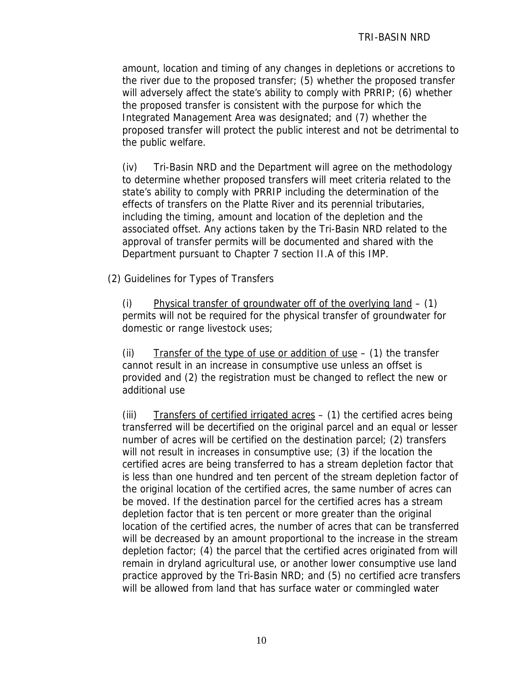amount, location and timing of any changes in depletions or accretions to the river due to the proposed transfer; (5) whether the proposed transfer will adversely affect the state's ability to comply with PRRIP; (6) whether the proposed transfer is consistent with the purpose for which the Integrated Management Area was designated; and (7) whether the proposed transfer will protect the public interest and not be detrimental to the public welfare.

(iv) Tri-Basin NRD and the Department will agree on the methodology to determine whether proposed transfers will meet criteria related to the state's ability to comply with PRRIP including the determination of the effects of transfers on the Platte River and its perennial tributaries, including the timing, amount and location of the depletion and the associated offset. Any actions taken by the Tri-Basin NRD related to the approval of transfer permits will be documented and shared with the Department pursuant to Chapter 7 section II.A of this IMP.

(2) Guidelines for Types of Transfers

(i) Physical transfer of groundwater off of the overlying land – (1) permits will not be required for the physical transfer of groundwater for domestic or range livestock uses;

(ii) Transfer of the type of use or addition of use  $-$  (1) the transfer cannot result in an increase in consumptive use unless an offset is provided and (2) the registration must be changed to reflect the new or additional use

(iii) Transfers of certified irrigated acres  $-$  (1) the certified acres being transferred will be decertified on the original parcel and an equal or lesser number of acres will be certified on the destination parcel; (2) transfers will not result in increases in consumptive use; (3) if the location the certified acres are being transferred to has a stream depletion factor that is less than one hundred and ten percent of the stream depletion factor of the original location of the certified acres, the same number of acres can be moved. If the destination parcel for the certified acres has a stream depletion factor that is ten percent or more greater than the original location of the certified acres, the number of acres that can be transferred will be decreased by an amount proportional to the increase in the stream depletion factor; (4) the parcel that the certified acres originated from will remain in dryland agricultural use, or another lower consumptive use land practice approved by the Tri-Basin NRD; and (5) no certified acre transfers will be allowed from land that has surface water or commingled water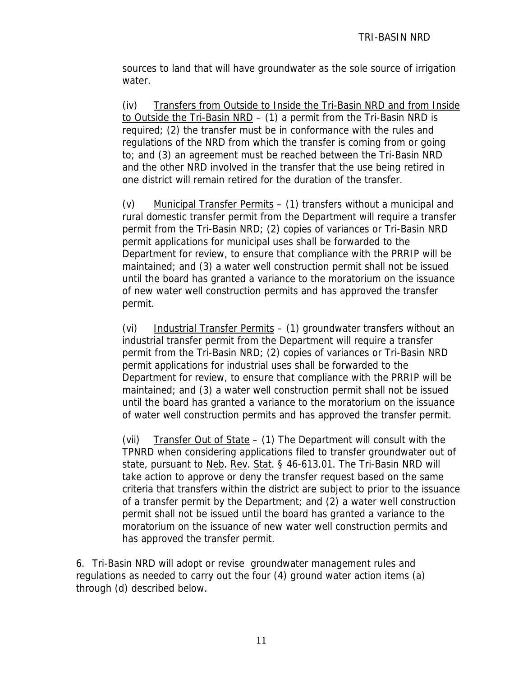sources to land that will have groundwater as the sole source of irrigation water.

(iv) Transfers from Outside to Inside the Tri-Basin NRD and from Inside to Outside the Tri-Basin NRD – (1) a permit from the Tri-Basin NRD is required; (2) the transfer must be in conformance with the rules and regulations of the NRD from which the transfer is coming from or going to; and (3) an agreement must be reached between the Tri-Basin NRD and the other NRD involved in the transfer that the use being retired in one district will remain retired for the duration of the transfer.

(v) Municipal Transfer Permits – (1) transfers without a municipal and rural domestic transfer permit from the Department will require a transfer permit from the Tri-Basin NRD; (2) copies of variances or Tri-Basin NRD permit applications for municipal uses shall be forwarded to the Department for review, to ensure that compliance with the PRRIP will be maintained; and (3) a water well construction permit shall not be issued until the board has granted a variance to the moratorium on the issuance of new water well construction permits and has approved the transfer permit.

(vi) Industrial Transfer Permits – (1) groundwater transfers without an industrial transfer permit from the Department will require a transfer permit from the Tri-Basin NRD; (2) copies of variances or Tri-Basin NRD permit applications for industrial uses shall be forwarded to the Department for review, to ensure that compliance with the PRRIP will be maintained; and (3) a water well construction permit shall not be issued until the board has granted a variance to the moratorium on the issuance of water well construction permits and has approved the transfer permit.

(vii) Transfer Out of State  $-$  (1) The Department will consult with the TPNRD when considering applications filed to transfer groundwater out of state, pursuant to Neb. Rev. Stat. § 46-613.01. The Tri-Basin NRD will take action to approve or deny the transfer request based on the same criteria that transfers within the district are subject to prior to the issuance of a transfer permit by the Department; and (2) a water well construction permit shall not be issued until the board has granted a variance to the moratorium on the issuance of new water well construction permits and has approved the transfer permit.

6. Tri-Basin NRD will adopt or revise groundwater management rules and regulations as needed to carry out the four (4) ground water action items (a) through (d) described below.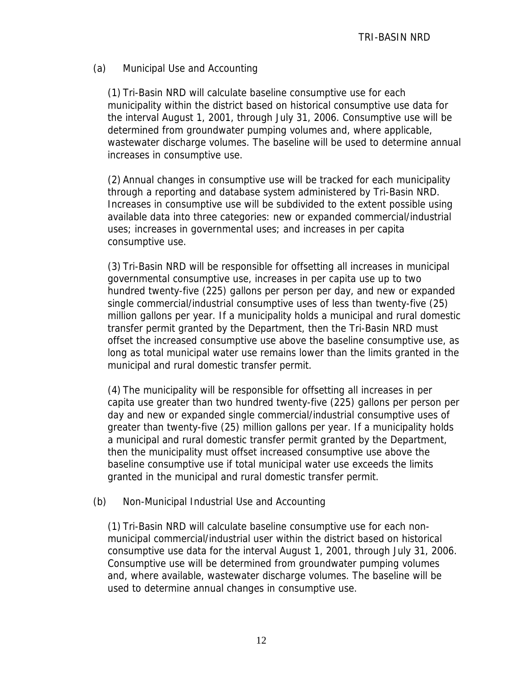## (a) Municipal Use and Accounting

(1) Tri-Basin NRD will calculate baseline consumptive use for each municipality within the district based on historical consumptive use data for the interval August 1, 2001, through July 31, 2006. Consumptive use will be determined from groundwater pumping volumes and, where applicable, wastewater discharge volumes. The baseline will be used to determine annual increases in consumptive use.

(2) Annual changes in consumptive use will be tracked for each municipality through a reporting and database system administered by Tri-Basin NRD. Increases in consumptive use will be subdivided to the extent possible using available data into three categories: new or expanded commercial/industrial uses; increases in governmental uses; and increases in per capita consumptive use.

(3) Tri-Basin NRD will be responsible for offsetting all increases in municipal governmental consumptive use, increases in per capita use up to two hundred twenty-five (225) gallons per person per day, and new or expanded single commercial/industrial consumptive uses of less than twenty-five (25) million gallons per year. If a municipality holds a municipal and rural domestic transfer permit granted by the Department, then the Tri-Basin NRD must offset the increased consumptive use above the baseline consumptive use, as long as total municipal water use remains lower than the limits granted in the municipal and rural domestic transfer permit.

(4) The municipality will be responsible for offsetting all increases in per capita use greater than two hundred twenty-five (225) gallons per person per day and new or expanded single commercial/industrial consumptive uses of greater than twenty-five (25) million gallons per year. If a municipality holds a municipal and rural domestic transfer permit granted by the Department, then the municipality must offset increased consumptive use above the baseline consumptive use if total municipal water use exceeds the limits granted in the municipal and rural domestic transfer permit.

#### (b) Non-Municipal Industrial Use and Accounting

(1) Tri-Basin NRD will calculate baseline consumptive use for each nonmunicipal commercial/industrial user within the district based on historical consumptive use data for the interval August 1, 2001, through July 31, 2006. Consumptive use will be determined from groundwater pumping volumes and, where available, wastewater discharge volumes. The baseline will be used to determine annual changes in consumptive use.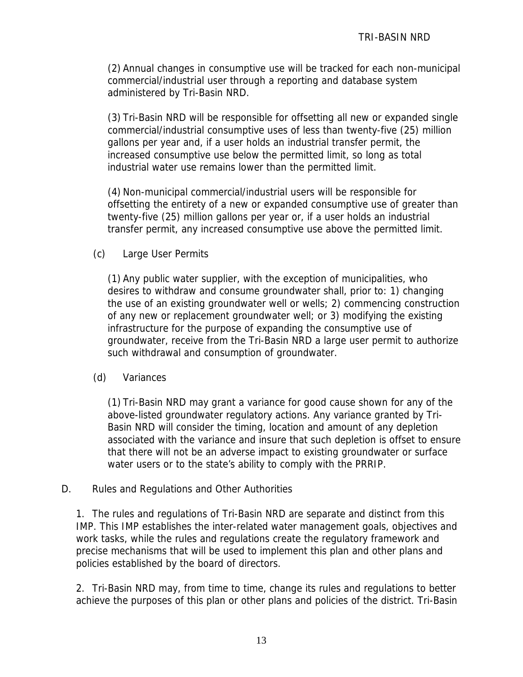(2) Annual changes in consumptive use will be tracked for each non-municipal commercial/industrial user through a reporting and database system administered by Tri-Basin NRD.

(3) Tri-Basin NRD will be responsible for offsetting all new or expanded single commercial/industrial consumptive uses of less than twenty-five (25) million gallons per year and, if a user holds an industrial transfer permit, the increased consumptive use below the permitted limit, so long as total industrial water use remains lower than the permitted limit.

(4) Non-municipal commercial/industrial users will be responsible for offsetting the entirety of a new or expanded consumptive use of greater than twenty-five (25) million gallons per year or, if a user holds an industrial transfer permit, any increased consumptive use above the permitted limit.

## (c) Large User Permits

(1) Any public water supplier, with the exception of municipalities, who desires to withdraw and consume groundwater shall, prior to: 1) changing the use of an existing groundwater well or wells; 2) commencing construction of any new or replacement groundwater well; or 3) modifying the existing infrastructure for the purpose of expanding the consumptive use of groundwater, receive from the Tri-Basin NRD a large user permit to authorize such withdrawal and consumption of groundwater.

#### (d) Variances

(1) Tri-Basin NRD may grant a variance for good cause shown for any of the above-listed groundwater regulatory actions. Any variance granted by Tri-Basin NRD will consider the timing, location and amount of any depletion associated with the variance and insure that such depletion is offset to ensure that there will not be an adverse impact to existing groundwater or surface water users or to the state's ability to comply with the PRRIP.

#### D. Rules and Regulations and Other Authorities

1. The rules and regulations of Tri-Basin NRD are separate and distinct from this IMP. This IMP establishes the inter-related water management goals, objectives and work tasks, while the rules and regulations create the regulatory framework and precise mechanisms that will be used to implement this plan and other plans and policies established by the board of directors.

2. Tri-Basin NRD may, from time to time, change its rules and regulations to better achieve the purposes of this plan or other plans and policies of the district. Tri-Basin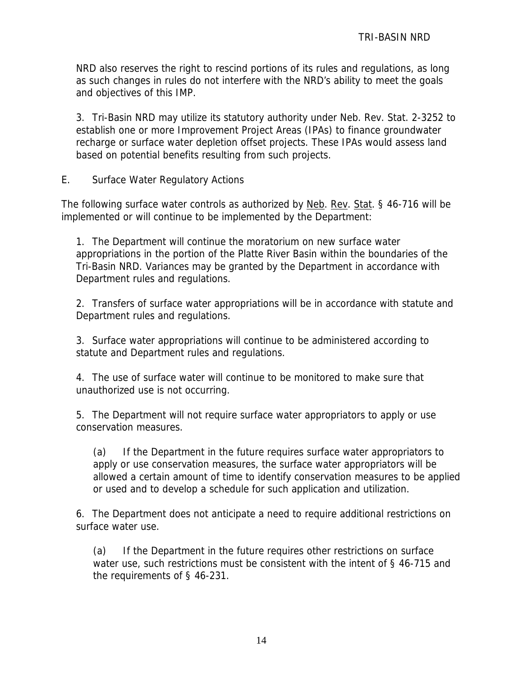NRD also reserves the right to rescind portions of its rules and regulations, as long as such changes in rules do not interfere with the NRD's ability to meet the goals and objectives of this IMP.

3. Tri-Basin NRD may utilize its statutory authority under Neb. Rev. Stat. 2-3252 to establish one or more Improvement Project Areas (IPAs) to finance groundwater recharge or surface water depletion offset projects. These IPAs would assess land based on potential benefits resulting from such projects.

E. Surface Water Regulatory Actions

The following surface water controls as authorized by Neb. Rev. Stat. § 46-716 will be implemented or will continue to be implemented by the Department:

1. The Department will continue the moratorium on new surface water appropriations in the portion of the Platte River Basin within the boundaries of the Tri-Basin NRD. Variances may be granted by the Department in accordance with Department rules and regulations.

2. Transfers of surface water appropriations will be in accordance with statute and Department rules and regulations.

3. Surface water appropriations will continue to be administered according to statute and Department rules and regulations.

4. The use of surface water will continue to be monitored to make sure that unauthorized use is not occurring.

5. The Department will not require surface water appropriators to apply or use conservation measures.

(a) If the Department in the future requires surface water appropriators to apply or use conservation measures, the surface water appropriators will be allowed a certain amount of time to identify conservation measures to be applied or used and to develop a schedule for such application and utilization.

6. The Department does not anticipate a need to require additional restrictions on surface water use.

(a) If the Department in the future requires other restrictions on surface water use, such restrictions must be consistent with the intent of § 46-715 and the requirements of § 46-231.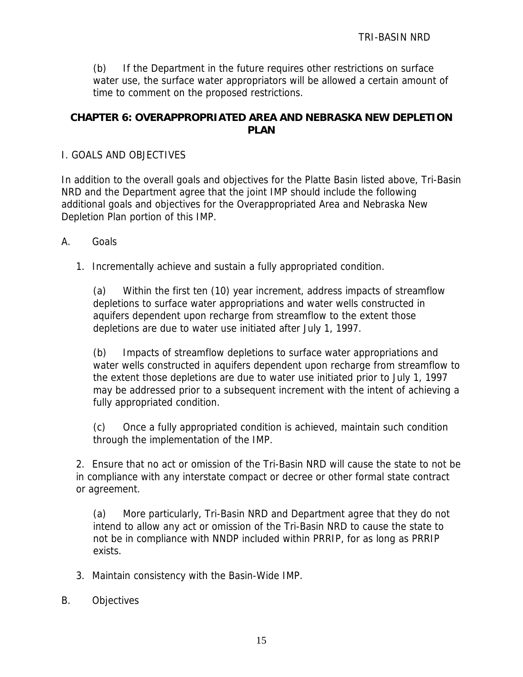(b) If the Department in the future requires other restrictions on surface water use, the surface water appropriators will be allowed a certain amount of time to comment on the proposed restrictions.

# **CHAPTER 6: OVERAPPROPRIATED AREA AND NEBRASKA NEW DEPLETION PLAN**

## I. GOALS AND OBJECTIVES

In addition to the overall goals and objectives for the Platte Basin listed above, Tri-Basin NRD and the Department agree that the joint IMP should include the following additional goals and objectives for the Overappropriated Area and Nebraska New Depletion Plan portion of this IMP.

- A. Goals
	- 1. Incrementally achieve and sustain a fully appropriated condition.

(a) Within the first ten (10) year increment, address impacts of streamflow depletions to surface water appropriations and water wells constructed in aquifers dependent upon recharge from streamflow to the extent those depletions are due to water use initiated after July 1, 1997.

(b) Impacts of streamflow depletions to surface water appropriations and water wells constructed in aquifers dependent upon recharge from streamflow to the extent those depletions are due to water use initiated prior to July 1, 1997 may be addressed prior to a subsequent increment with the intent of achieving a fully appropriated condition.

(c) Once a fully appropriated condition is achieved, maintain such condition through the implementation of the IMP.

2. Ensure that no act or omission of the Tri-Basin NRD will cause the state to not be in compliance with any interstate compact or decree or other formal state contract or agreement.

(a) More particularly, Tri-Basin NRD and Department agree that they do not intend to allow any act or omission of the Tri-Basin NRD to cause the state to not be in compliance with NNDP included within PRRIP, for as long as PRRIP exists.

- 3. Maintain consistency with the Basin-Wide IMP.
- B. Objectives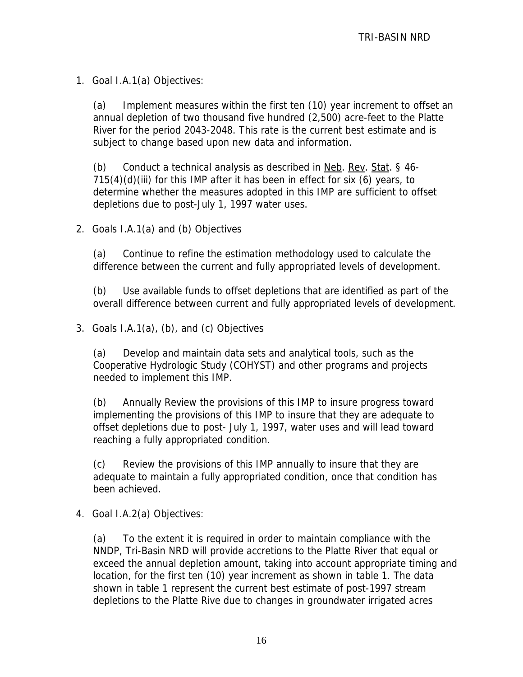1. Goal I.A.1(a) Objectives:

(a) Implement measures within the first ten (10) year increment to offset an annual depletion of two thousand five hundred (2,500) acre-feet to the Platte River for the period 2043-2048. This rate is the current best estimate and is subject to change based upon new data and information.

(b) Conduct a technical analysis as described in  $N$ eb. Rev. Stat. § 46-715(4)(d)(iii) for this IMP after it has been in effect for six (6) years, to determine whether the measures adopted in this IMP are sufficient to offset depletions due to post-July 1, 1997 water uses.

2. Goals I.A.1(a) and (b) Objectives

(a) Continue to refine the estimation methodology used to calculate the difference between the current and fully appropriated levels of development.

(b) Use available funds to offset depletions that are identified as part of the overall difference between current and fully appropriated levels of development.

3. Goals I.A.1(a), (b), and (c) Objectives

(a) Develop and maintain data sets and analytical tools, such as the Cooperative Hydrologic Study (COHYST) and other programs and projects needed to implement this IMP.

(b) Annually Review the provisions of this IMP to insure progress toward implementing the provisions of this IMP to insure that they are adequate to offset depletions due to post- July 1, 1997, water uses and will lead toward reaching a fully appropriated condition.

(c) Review the provisions of this IMP annually to insure that they are adequate to maintain a fully appropriated condition, once that condition has been achieved.

4. Goal I.A.2(a) Objectives:

(a) To the extent it is required in order to maintain compliance with the NNDP, Tri-Basin NRD will provide accretions to the Platte River that equal or exceed the annual depletion amount, taking into account appropriate timing and location, for the first ten (10) year increment as shown in table 1. The data shown in table 1 represent the current best estimate of post-1997 stream depletions to the Platte Rive due to changes in groundwater irrigated acres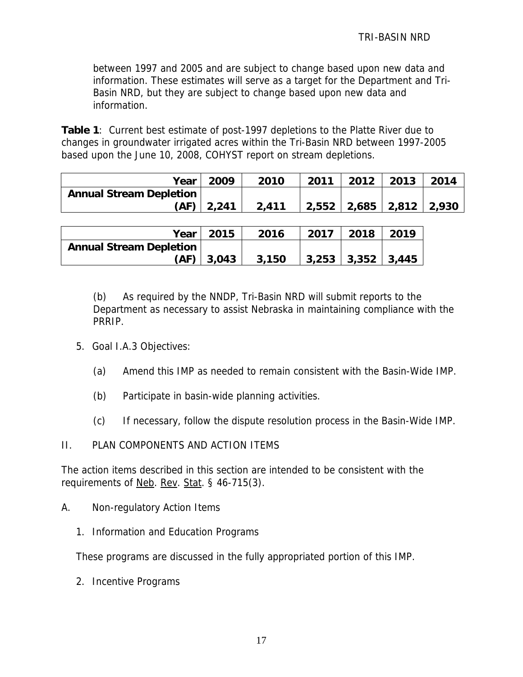between 1997 and 2005 and are subject to change based upon new data and information. These estimates will serve as a target for the Department and Tri-Basin NRD, but they are subject to change based upon new data and information.

**Table 1**: Current best estimate of post-1997 depletions to the Platte River due to changes in groundwater irrigated acres within the Tri-Basin NRD between 1997-2005 based upon the June 10, 2008, COHYST report on stream depletions.

|                                | Year   2009    | 2010  | 2011                    | 2012 2013 | 2014 |
|--------------------------------|----------------|-------|-------------------------|-----------|------|
| <b>Annual Stream Depletion</b> |                |       |                         |           |      |
|                                | $(AF)$   2,241 | 2,411 | 2,552 2,685 2,812 2,930 |           |      |

|                                | Year   2015  | 2016  | 2017 | 2018                        | 2019 |
|--------------------------------|--------------|-------|------|-----------------------------|------|
| <b>Annual Stream Depletion</b> |              |       |      |                             |      |
|                                | $(AF)$ 3,043 | 3,150 |      | $3,253$   $3,352$   $3,445$ |      |

(b) As required by the NNDP, Tri-Basin NRD will submit reports to the Department as necessary to assist Nebraska in maintaining compliance with the PRRIP.

- 5. Goal I.A.3 Objectives:
	- (a) Amend this IMP as needed to remain consistent with the Basin-Wide IMP.
	- (b) Participate in basin-wide planning activities.
	- (c) If necessary, follow the dispute resolution process in the Basin-Wide IMP.

#### II. PLAN COMPONENTS AND ACTION ITEMS

The action items described in this section are intended to be consistent with the requirements of Neb. Rev. Stat. § 46-715(3).

- A. Non-regulatory Action Items
	- 1. Information and Education Programs

These programs are discussed in the fully appropriated portion of this IMP.

2. Incentive Programs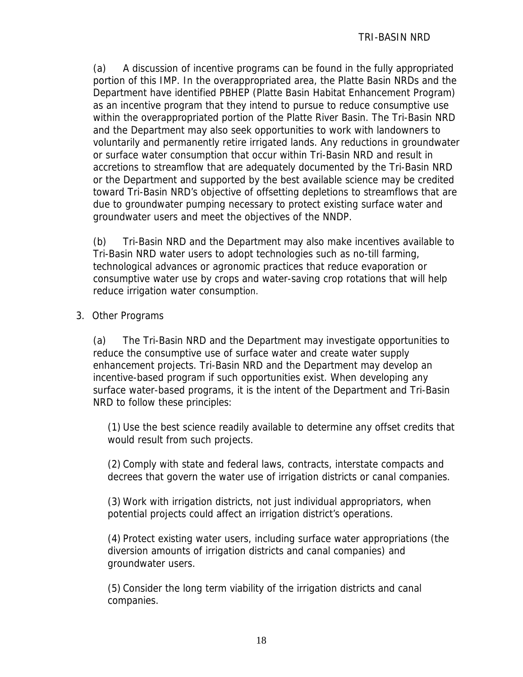(a) A discussion of incentive programs can be found in the fully appropriated portion of this IMP. In the overappropriated area, the Platte Basin NRDs and the Department have identified PBHEP (Platte Basin Habitat Enhancement Program) as an incentive program that they intend to pursue to reduce consumptive use within the overappropriated portion of the Platte River Basin. The Tri-Basin NRD and the Department may also seek opportunities to work with landowners to voluntarily and permanently retire irrigated lands. Any reductions in groundwater or surface water consumption that occur within Tri-Basin NRD and result in accretions to streamflow that are adequately documented by the Tri-Basin NRD or the Department and supported by the best available science may be credited toward Tri-Basin NRD's objective of offsetting depletions to streamflows that are due to groundwater pumping necessary to protect existing surface water and groundwater users and meet the objectives of the NNDP.

(b) Tri-Basin NRD and the Department may also make incentives available to Tri-Basin NRD water users to adopt technologies such as no-till farming, technological advances or agronomic practices that reduce evaporation or consumptive water use by crops and water-saving crop rotations that will help reduce irrigation water consumption.

## 3. Other Programs

(a) The Tri-Basin NRD and the Department may investigate opportunities to reduce the consumptive use of surface water and create water supply enhancement projects. Tri-Basin NRD and the Department may develop an incentive-based program if such opportunities exist. When developing any surface water-based programs, it is the intent of the Department and Tri-Basin NRD to follow these principles:

(1) Use the best science readily available to determine any offset credits that would result from such projects.

(2) Comply with state and federal laws, contracts, interstate compacts and decrees that govern the water use of irrigation districts or canal companies.

(3) Work with irrigation districts, not just individual appropriators, when potential projects could affect an irrigation district's operations.

(4) Protect existing water users, including surface water appropriations (the diversion amounts of irrigation districts and canal companies) and groundwater users.

(5) Consider the long term viability of the irrigation districts and canal companies.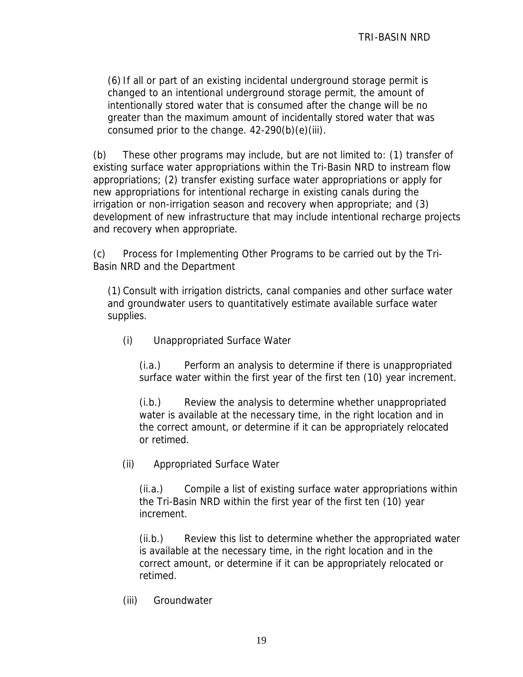(6) If all or part of an existing incidental underground storage permit is changed to an intentional underground storage permit, the amount of intentionally stored water that is consumed after the change will be no greater than the maximum amount of incidentally stored water that was consumed prior to the change. 42-290(b)(e)(iii).

(b) These other programs may include, but are not limited to: (1) transfer of existing surface water appropriations within the Tri-Basin NRD to instream flow appropriations; (2) transfer existing surface water appropriations or apply for new appropriations for intentional recharge in existing canals during the irrigation or non-irrigation season and recovery when appropriate; and (3) development of new infrastructure that may include intentional recharge projects and recovery when appropriate.

(c) Process for Implementing Other Programs to be carried out by the Tri-Basin NRD and the Department

(1) Consult with irrigation districts, canal companies and other surface water and groundwater users to quantitatively estimate available surface water supplies.

(i) Unappropriated Surface Water

(i.a.) Perform an analysis to determine if there is unappropriated surface water within the first year of the first ten (10) year increment.

(i.b.) Review the analysis to determine whether unappropriated water is available at the necessary time, in the right location and in the correct amount, or determine if it can be appropriately relocated or retimed.

(ii) Appropriated Surface Water

(ii.a.) Compile a list of existing surface water appropriations within the Tri-Basin NRD within the first year of the first ten (10) year increment.

(ii.b.) Review this list to determine whether the appropriated water is available at the necessary time, in the right location and in the correct amount, or determine if it can be appropriately relocated or retimed.

(iii) Groundwater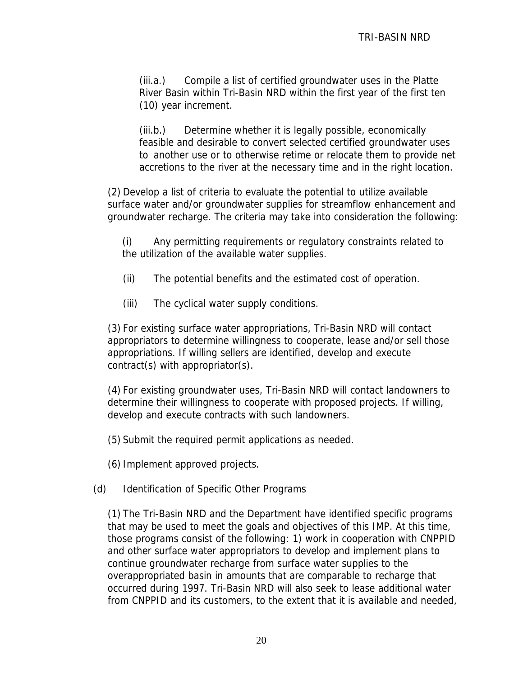(iii.a.) Compile a list of certified groundwater uses in the Platte River Basin within Tri-Basin NRD within the first year of the first ten (10) year increment.

(iii.b.) Determine whether it is legally possible, economically feasible and desirable to convert selected certified groundwater uses to another use or to otherwise retime or relocate them to provide net accretions to the river at the necessary time and in the right location.

(2) Develop a list of criteria to evaluate the potential to utilize available surface water and/or groundwater supplies for streamflow enhancement and groundwater recharge. The criteria may take into consideration the following:

(i) Any permitting requirements or regulatory constraints related to the utilization of the available water supplies.

- (ii) The potential benefits and the estimated cost of operation.
- (iii) The cyclical water supply conditions.

(3) For existing surface water appropriations, Tri-Basin NRD will contact appropriators to determine willingness to cooperate, lease and/or sell those appropriations. If willing sellers are identified, develop and execute contract(s) with appropriator(s).

(4) For existing groundwater uses, Tri-Basin NRD will contact landowners to determine their willingness to cooperate with proposed projects. If willing, develop and execute contracts with such landowners.

(5) Submit the required permit applications as needed.

(6) Implement approved projects.

(d) Identification of Specific Other Programs

(1) The Tri-Basin NRD and the Department have identified specific programs that may be used to meet the goals and objectives of this IMP. At this time, those programs consist of the following: 1) work in cooperation with CNPPID and other surface water appropriators to develop and implement plans to continue groundwater recharge from surface water supplies to the overappropriated basin in amounts that are comparable to recharge that occurred during 1997. Tri-Basin NRD will also seek to lease additional water from CNPPID and its customers, to the extent that it is available and needed,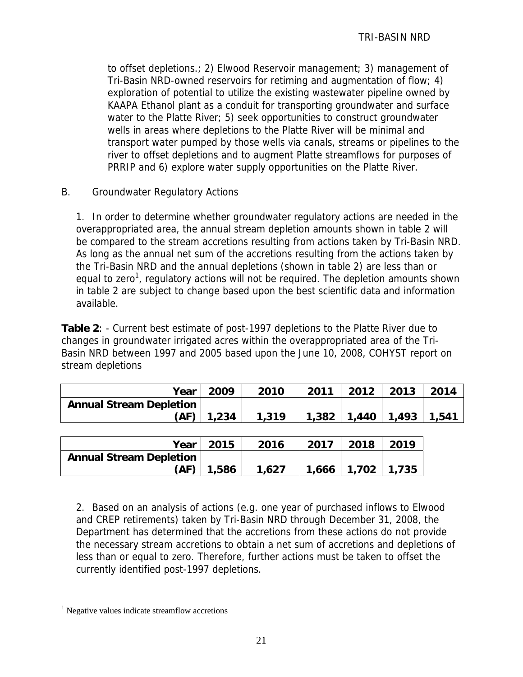to offset depletions.; 2) Elwood Reservoir management; 3) management of Tri-Basin NRD-owned reservoirs for retiming and augmentation of flow; 4) exploration of potential to utilize the existing wastewater pipeline owned by KAAPA Ethanol plant as a conduit for transporting groundwater and surface water to the Platte River; 5) seek opportunities to construct groundwater wells in areas where depletions to the Platte River will be minimal and transport water pumped by those wells via canals, streams or pipelines to the river to offset depletions and to augment Platte streamflows for purposes of PRRIP and 6) explore water supply opportunities on the Platte River.

B. Groundwater Regulatory Actions

1. In order to determine whether groundwater regulatory actions are needed in the overappropriated area, the annual stream depletion amounts shown in table 2 will be compared to the stream accretions resulting from actions taken by Tri-Basin NRD. As long as the annual net sum of the accretions resulting from the actions taken by the Tri-Basin NRD and the annual depletions (shown in table 2) are less than or equal to zero<sup>1</sup>, regulatory actions will not be required. The depletion amounts shown in table 2 are subject to change based upon the best scientific data and information available.

**Table 2**: - Current best estimate of post-1997 depletions to the Platte River due to changes in groundwater irrigated acres within the overappropriated area of the Tri-Basin NRD between 1997 and 2005 based upon the June 10, 2008, COHYST report on stream depletions

| Year                           | 2009           | 2010  | 2011 | 2012 2013 2                     | 2014 |
|--------------------------------|----------------|-------|------|---------------------------------|------|
| <b>Annual Stream Depletion</b> |                |       |      |                                 |      |
|                                | $(AF)$   1,234 | 1,319 |      | $1,382$   1,440   1,493   1,541 |      |

|                                | Year   2015 | 2016  | 2017 | $\sqrt{2018}$           | 2019 |
|--------------------------------|-------------|-------|------|-------------------------|------|
| <b>Annual Stream Depletion</b> |             |       |      |                         |      |
| (AF)                           | 1,586       | 1.627 |      | $1,666$   1,702   1,735 |      |

2. Based on an analysis of actions (e.g. one year of purchased inflows to Elwood and CREP retirements) taken by Tri-Basin NRD through December 31, 2008, the Department has determined that the accretions from these actions do not provide the necessary stream accretions to obtain a net sum of accretions and depletions of less than or equal to zero. Therefore, further actions must be taken to offset the currently identified post-1997 depletions.

 $\overline{a}$ 

<sup>&</sup>lt;sup>1</sup> Negative values indicate streamflow accretions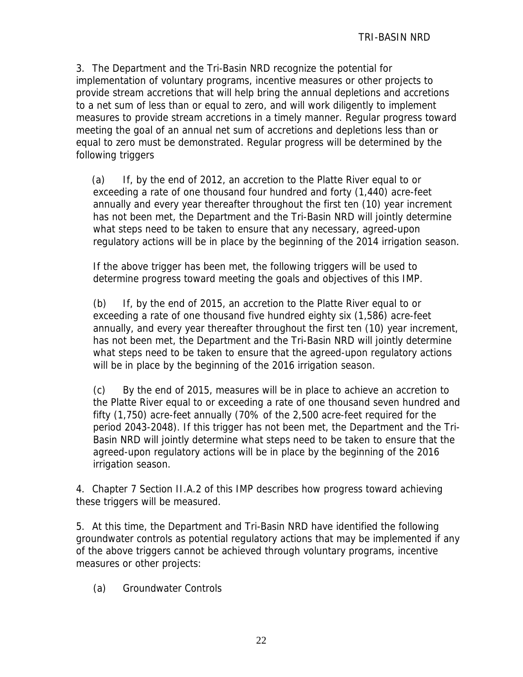3. The Department and the Tri-Basin NRD recognize the potential for implementation of voluntary programs, incentive measures or other projects to provide stream accretions that will help bring the annual depletions and accretions to a net sum of less than or equal to zero, and will work diligently to implement measures to provide stream accretions in a timely manner. Regular progress toward meeting the goal of an annual net sum of accretions and depletions less than or equal to zero must be demonstrated. Regular progress will be determined by the following triggers

(a) If, by the end of 2012, an accretion to the Platte River equal to or exceeding a rate of one thousand four hundred and forty (1,440) acre-feet annually and every year thereafter throughout the first ten (10) year increment has not been met, the Department and the Tri-Basin NRD will jointly determine what steps need to be taken to ensure that any necessary, agreed-upon regulatory actions will be in place by the beginning of the 2014 irrigation season.

If the above trigger has been met, the following triggers will be used to determine progress toward meeting the goals and objectives of this IMP.

(b) If, by the end of 2015, an accretion to the Platte River equal to or exceeding a rate of one thousand five hundred eighty six (1,586) acre-feet annually, and every year thereafter throughout the first ten (10) year increment, has not been met, the Department and the Tri-Basin NRD will jointly determine what steps need to be taken to ensure that the agreed-upon regulatory actions will be in place by the beginning of the 2016 irrigation season.

(c) By the end of 2015, measures will be in place to achieve an accretion to the Platte River equal to or exceeding a rate of one thousand seven hundred and fifty (1,750) acre-feet annually (70% of the 2,500 acre-feet required for the period 2043-2048). If this trigger has not been met, the Department and the Tri-Basin NRD will jointly determine what steps need to be taken to ensure that the agreed-upon regulatory actions will be in place by the beginning of the 2016 irrigation season.

4. Chapter 7 Section II.A.2 of this IMP describes how progress toward achieving these triggers will be measured.

5. At this time, the Department and Tri-Basin NRD have identified the following groundwater controls as potential regulatory actions that may be implemented if any of the above triggers cannot be achieved through voluntary programs, incentive measures or other projects:

(a) Groundwater Controls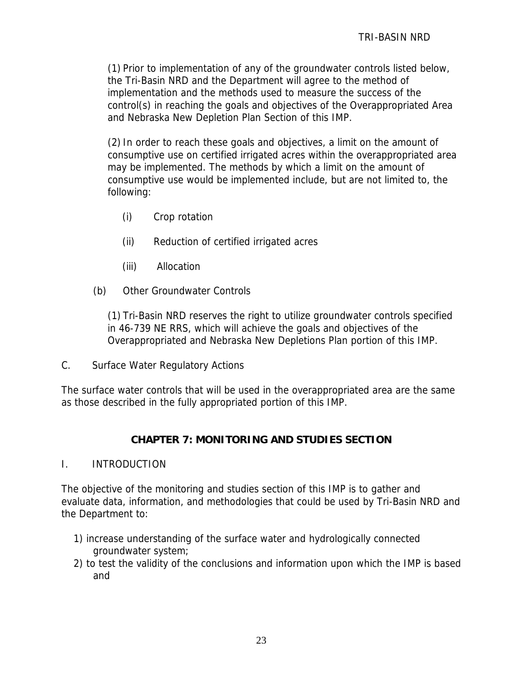(1) Prior to implementation of any of the groundwater controls listed below, the Tri-Basin NRD and the Department will agree to the method of implementation and the methods used to measure the success of the control(s) in reaching the goals and objectives of the Overappropriated Area and Nebraska New Depletion Plan Section of this IMP.

(2) In order to reach these goals and objectives, a limit on the amount of consumptive use on certified irrigated acres within the overappropriated area may be implemented. The methods by which a limit on the amount of consumptive use would be implemented include, but are not limited to, the following:

- (i) Crop rotation
- (ii) Reduction of certified irrigated acres
- (iii) Allocation
- (b) Other Groundwater Controls

(1) Tri-Basin NRD reserves the right to utilize groundwater controls specified in 46-739 NE RRS, which will achieve the goals and objectives of the Overappropriated and Nebraska New Depletions Plan portion of this IMP.

C. Surface Water Regulatory Actions

The surface water controls that will be used in the overappropriated area are the same as those described in the fully appropriated portion of this IMP.

# **CHAPTER 7: MONITORING AND STUDIES SECTION**

#### I. INTRODUCTION

The objective of the monitoring and studies section of this IMP is to gather and evaluate data, information, and methodologies that could be used by Tri-Basin NRD and the Department to:

- 1) increase understanding of the surface water and hydrologically connected groundwater system;
- 2) to test the validity of the conclusions and information upon which the IMP is based and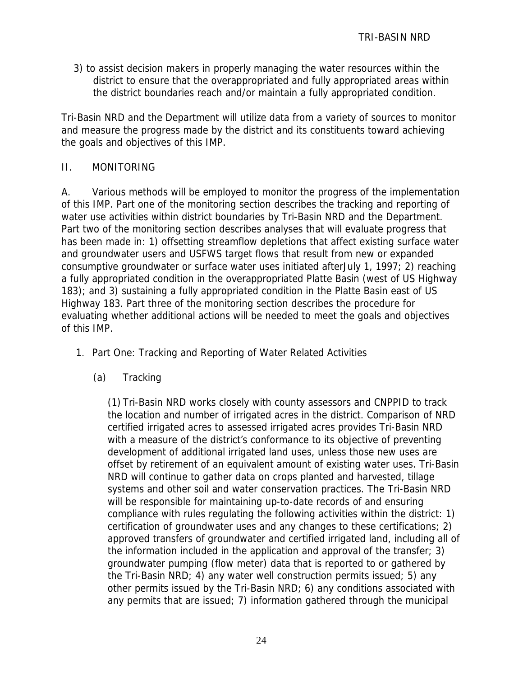3) to assist decision makers in properly managing the water resources within the district to ensure that the overappropriated and fully appropriated areas within the district boundaries reach and/or maintain a fully appropriated condition.

Tri-Basin NRD and the Department will utilize data from a variety of sources to monitor and measure the progress made by the district and its constituents toward achieving the goals and objectives of this IMP.

## II. MONITORING

A. Various methods will be employed to monitor the progress of the implementation of this IMP. Part one of the monitoring section describes the tracking and reporting of water use activities within district boundaries by Tri-Basin NRD and the Department. Part two of the monitoring section describes analyses that will evaluate progress that has been made in: 1) offsetting streamflow depletions that affect existing surface water and groundwater users and USFWS target flows that result from new or expanded consumptive groundwater or surface water uses initiated afterJuly 1, 1997; 2) reaching a fully appropriated condition in the overappropriated Platte Basin (west of US Highway 183); and 3) sustaining a fully appropriated condition in the Platte Basin east of US Highway 183. Part three of the monitoring section describes the procedure for evaluating whether additional actions will be needed to meet the goals and objectives of this IMP.

- 1. Part One: Tracking and Reporting of Water Related Activities
	- (a) Tracking

(1) Tri-Basin NRD works closely with county assessors and CNPPID to track the location and number of irrigated acres in the district. Comparison of NRD certified irrigated acres to assessed irrigated acres provides Tri-Basin NRD with a measure of the district's conformance to its objective of preventing development of additional irrigated land uses, unless those new uses are offset by retirement of an equivalent amount of existing water uses. Tri-Basin NRD will continue to gather data on crops planted and harvested, tillage systems and other soil and water conservation practices. The Tri-Basin NRD will be responsible for maintaining up-to-date records of and ensuring compliance with rules regulating the following activities within the district: 1) certification of groundwater uses and any changes to these certifications; 2) approved transfers of groundwater and certified irrigated land, including all of the information included in the application and approval of the transfer; 3) groundwater pumping (flow meter) data that is reported to or gathered by the Tri-Basin NRD; 4) any water well construction permits issued; 5) any other permits issued by the Tri-Basin NRD; 6) any conditions associated with any permits that are issued; 7) information gathered through the municipal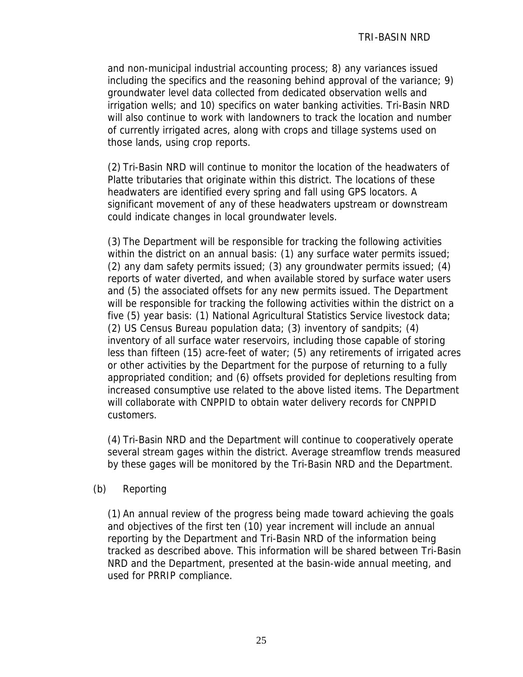and non-municipal industrial accounting process; 8) any variances issued including the specifics and the reasoning behind approval of the variance; 9) groundwater level data collected from dedicated observation wells and irrigation wells; and 10) specifics on water banking activities. Tri-Basin NRD will also continue to work with landowners to track the location and number of currently irrigated acres, along with crops and tillage systems used on those lands, using crop reports.

(2) Tri-Basin NRD will continue to monitor the location of the headwaters of Platte tributaries that originate within this district. The locations of these headwaters are identified every spring and fall using GPS locators. A significant movement of any of these headwaters upstream or downstream could indicate changes in local groundwater levels.

(3) The Department will be responsible for tracking the following activities within the district on an annual basis: (1) any surface water permits issued; (2) any dam safety permits issued; (3) any groundwater permits issued; (4) reports of water diverted, and when available stored by surface water users and (5) the associated offsets for any new permits issued. The Department will be responsible for tracking the following activities within the district on a five (5) year basis: (1) National Agricultural Statistics Service livestock data; (2) US Census Bureau population data; (3) inventory of sandpits; (4) inventory of all surface water reservoirs, including those capable of storing less than fifteen (15) acre-feet of water; (5) any retirements of irrigated acres or other activities by the Department for the purpose of returning to a fully appropriated condition; and (6) offsets provided for depletions resulting from increased consumptive use related to the above listed items. The Department will collaborate with CNPPID to obtain water delivery records for CNPPID customers.

(4) Tri-Basin NRD and the Department will continue to cooperatively operate several stream gages within the district. Average streamflow trends measured by these gages will be monitored by the Tri-Basin NRD and the Department.

#### (b) Reporting

(1) An annual review of the progress being made toward achieving the goals and objectives of the first ten (10) year increment will include an annual reporting by the Department and Tri-Basin NRD of the information being tracked as described above. This information will be shared between Tri-Basin NRD and the Department, presented at the basin-wide annual meeting, and used for PRRIP compliance.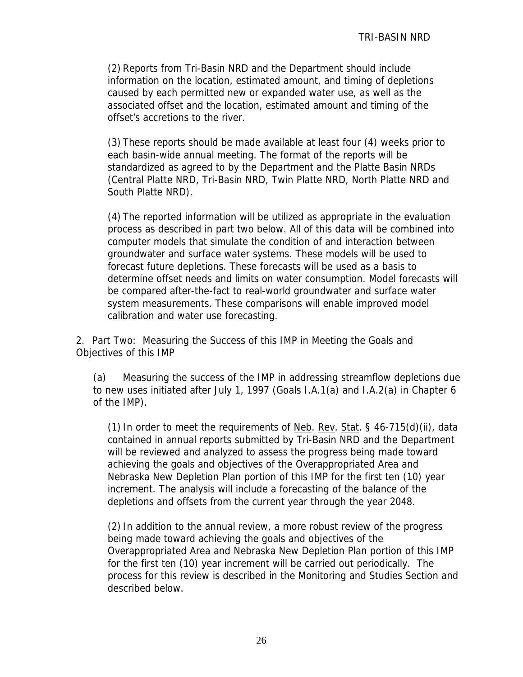(2) Reports from Tri-Basin NRD and the Department should include information on the location, estimated amount, and timing of depletions caused by each permitted new or expanded water use, as well as the associated offset and the location, estimated amount and timing of the offset's accretions to the river.

(3) These reports should be made available at least four (4) weeks prior to each basin-wide annual meeting. The format of the reports will be standardized as agreed to by the Department and the Platte Basin NRDs (Central Platte NRD, Tri-Basin NRD, Twin Platte NRD, North Platte NRD and South Platte NRD).

(4) The reported information will be utilized as appropriate in the evaluation process as described in part two below. All of this data will be combined into computer models that simulate the condition of and interaction between groundwater and surface water systems. These models will be used to forecast future depletions. These forecasts will be used as a basis to determine offset needs and limits on water consumption. Model forecasts will be compared after-the-fact to real-world groundwater and surface water system measurements. These comparisons will enable improved model calibration and water use forecasting.

2. Part Two: Measuring the Success of this IMP in Meeting the Goals and Objectives of this IMP

(a) Measuring the success of the IMP in addressing streamflow depletions due to new uses initiated after July 1, 1997 (Goals I.A.1(a) and I.A.2(a) in Chapter 6 of the IMP).

(1) In order to meet the requirements of  $Neb$ . Rev. Stat. § 46-715(d)(ii), data contained in annual reports submitted by Tri-Basin NRD and the Department will be reviewed and analyzed to assess the progress being made toward achieving the goals and objectives of the Overappropriated Area and Nebraska New Depletion Plan portion of this IMP for the first ten (10) year increment. The analysis will include a forecasting of the balance of the depletions and offsets from the current year through the year 2048.

(2) In addition to the annual review, a more robust review of the progress being made toward achieving the goals and objectives of the Overappropriated Area and Nebraska New Depletion Plan portion of this IMP for the first ten (10) year increment will be carried out periodically. The process for this review is described in the Monitoring and Studies Section and described below.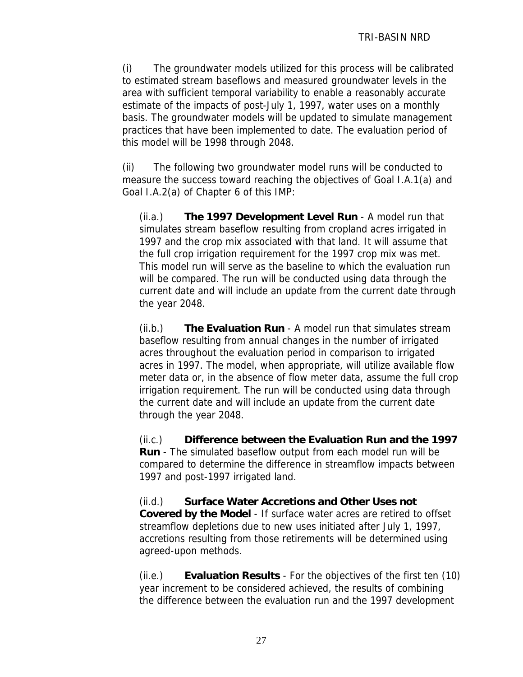(i) The groundwater models utilized for this process will be calibrated to estimated stream baseflows and measured groundwater levels in the area with sufficient temporal variability to enable a reasonably accurate estimate of the impacts of post-July 1, 1997, water uses on a monthly basis. The groundwater models will be updated to simulate management practices that have been implemented to date. The evaluation period of this model will be 1998 through 2048.

(ii) The following two groundwater model runs will be conducted to measure the success toward reaching the objectives of Goal I.A.1(a) and Goal I.A.2(a) of Chapter 6 of this IMP:

(ii.a.) **The 1997 Development Level Run** - A model run that simulates stream baseflow resulting from cropland acres irrigated in 1997 and the crop mix associated with that land. It will assume that the full crop irrigation requirement for the 1997 crop mix was met. This model run will serve as the baseline to which the evaluation run will be compared. The run will be conducted using data through the current date and will include an update from the current date through the year 2048.

(ii.b.) **The Evaluation Run** - A model run that simulates stream baseflow resulting from annual changes in the number of irrigated acres throughout the evaluation period in comparison to irrigated acres in 1997. The model, when appropriate, will utilize available flow meter data or, in the absence of flow meter data, assume the full crop irrigation requirement. The run will be conducted using data through the current date and will include an update from the current date through the year 2048.

(ii.c.) **Difference between the Evaluation Run and the 1997 Run** - The simulated baseflow output from each model run will be compared to determine the difference in streamflow impacts between 1997 and post-1997 irrigated land.

(ii.d.) **Surface Water Accretions and Other Uses not Covered by the Model** - If surface water acres are retired to offset streamflow depletions due to new uses initiated after July 1, 1997, accretions resulting from those retirements will be determined using agreed-upon methods.

(ii.e.) **Evaluation Results** - For the objectives of the first ten (10) year increment to be considered achieved, the results of combining the difference between the evaluation run and the 1997 development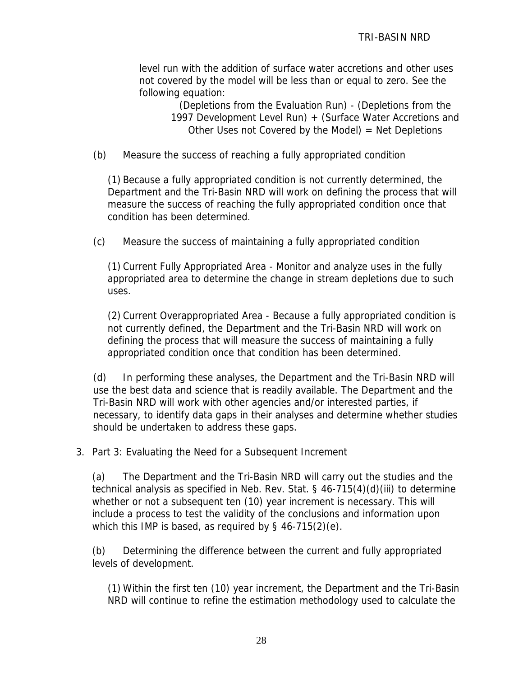level run with the addition of surface water accretions and other uses not covered by the model will be less than or equal to zero. See the following equation:

> (Depletions from the Evaluation Run) - (Depletions from the 1997 Development Level Run) + (Surface Water Accretions and Other Uses not Covered by the Model)  $=$  Net Depletions

(b) Measure the success of reaching a fully appropriated condition

(1) Because a fully appropriated condition is not currently determined, the Department and the Tri-Basin NRD will work on defining the process that will measure the success of reaching the fully appropriated condition once that condition has been determined.

(c) Measure the success of maintaining a fully appropriated condition

(1) Current Fully Appropriated Area - Monitor and analyze uses in the fully appropriated area to determine the change in stream depletions due to such uses.

(2) Current Overappropriated Area - Because a fully appropriated condition is not currently defined, the Department and the Tri-Basin NRD will work on defining the process that will measure the success of maintaining a fully appropriated condition once that condition has been determined.

(d) In performing these analyses, the Department and the Tri-Basin NRD will use the best data and science that is readily available. The Department and the Tri-Basin NRD will work with other agencies and/or interested parties, if necessary, to identify data gaps in their analyses and determine whether studies should be undertaken to address these gaps.

3. Part 3: Evaluating the Need for a Subsequent Increment

(a) The Department and the Tri-Basin NRD will carry out the studies and the technical analysis as specified in Neb. Rev. Stat. § 46-715(4)(d)(iii) to determine whether or not a subsequent ten (10) year increment is necessary. This will include a process to test the validity of the conclusions and information upon which this IMP is based, as required by  $\S$  46-715(2)(e).

(b) Determining the difference between the current and fully appropriated levels of development.

(1) Within the first ten (10) year increment, the Department and the Tri-Basin NRD will continue to refine the estimation methodology used to calculate the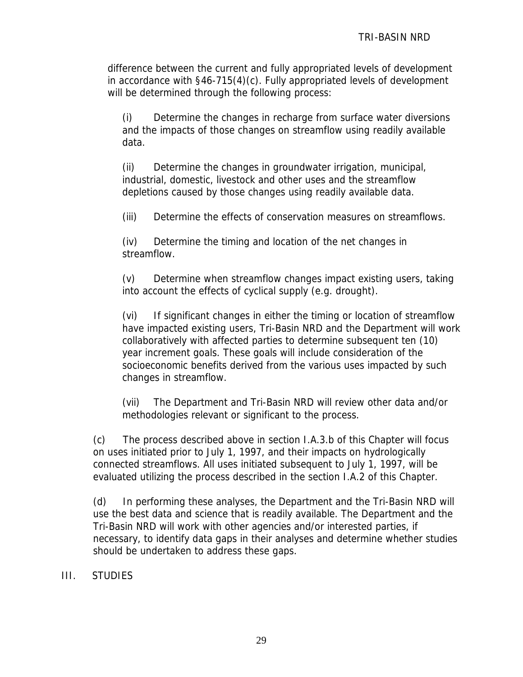difference between the current and fully appropriated levels of development in accordance with §46-715(4)(c). Fully appropriated levels of development will be determined through the following process:

(i) Determine the changes in recharge from surface water diversions and the impacts of those changes on streamflow using readily available data.

(ii) Determine the changes in groundwater irrigation, municipal, industrial, domestic, livestock and other uses and the streamflow depletions caused by those changes using readily available data.

(iii) Determine the effects of conservation measures on streamflows.

(iv) Determine the timing and location of the net changes in streamflow.

(v) Determine when streamflow changes impact existing users, taking into account the effects of cyclical supply (e.g. drought).

(vi) If significant changes in either the timing or location of streamflow have impacted existing users, Tri-Basin NRD and the Department will work collaboratively with affected parties to determine subsequent ten (10) year increment goals. These goals will include consideration of the socioeconomic benefits derived from the various uses impacted by such changes in streamflow.

(vii) The Department and Tri-Basin NRD will review other data and/or methodologies relevant or significant to the process.

(c) The process described above in section I.A.3.b of this Chapter will focus on uses initiated prior to July 1, 1997, and their impacts on hydrologically connected streamflows. All uses initiated subsequent to July 1, 1997, will be evaluated utilizing the process described in the section I.A.2 of this Chapter.

(d) In performing these analyses, the Department and the Tri-Basin NRD will use the best data and science that is readily available. The Department and the Tri-Basin NRD will work with other agencies and/or interested parties, if necessary, to identify data gaps in their analyses and determine whether studies should be undertaken to address these gaps.

# III. STUDIES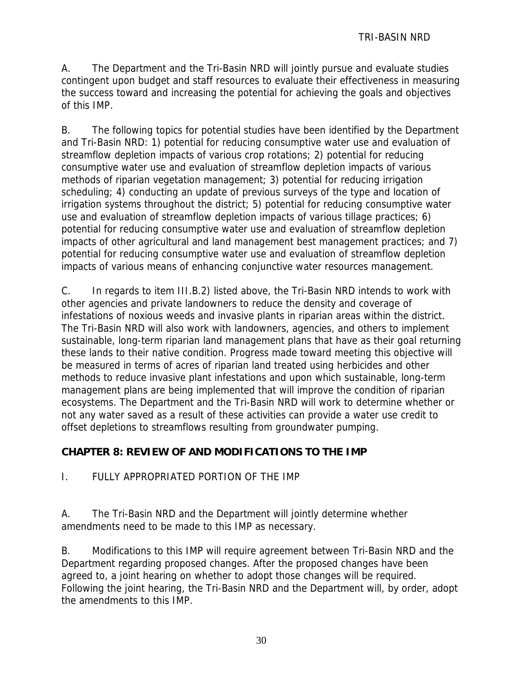A. The Department and the Tri-Basin NRD will jointly pursue and evaluate studies contingent upon budget and staff resources to evaluate their effectiveness in measuring the success toward and increasing the potential for achieving the goals and objectives of this IMP.

B. The following topics for potential studies have been identified by the Department and Tri-Basin NRD: 1) potential for reducing consumptive water use and evaluation of streamflow depletion impacts of various crop rotations; 2) potential for reducing consumptive water use and evaluation of streamflow depletion impacts of various methods of riparian vegetation management; 3) potential for reducing irrigation scheduling; 4) conducting an update of previous surveys of the type and location of irrigation systems throughout the district; 5) potential for reducing consumptive water use and evaluation of streamflow depletion impacts of various tillage practices; 6) potential for reducing consumptive water use and evaluation of streamflow depletion impacts of other agricultural and land management best management practices; and 7) potential for reducing consumptive water use and evaluation of streamflow depletion impacts of various means of enhancing conjunctive water resources management.

C. In regards to item III.B.2) listed above, the Tri-Basin NRD intends to work with other agencies and private landowners to reduce the density and coverage of infestations of noxious weeds and invasive plants in riparian areas within the district. The Tri-Basin NRD will also work with landowners, agencies, and others to implement sustainable, long-term riparian land management plans that have as their goal returning these lands to their native condition. Progress made toward meeting this objective will be measured in terms of acres of riparian land treated using herbicides and other methods to reduce invasive plant infestations and upon which sustainable, long-term management plans are being implemented that will improve the condition of riparian ecosystems. The Department and the Tri-Basin NRD will work to determine whether or not any water saved as a result of these activities can provide a water use credit to offset depletions to streamflows resulting from groundwater pumping.

# **CHAPTER 8: REVIEW OF AND MODIFICATIONS TO THE IMP**

I. FULLY APPROPRIATED PORTION OF THE IMP

A. The Tri-Basin NRD and the Department will jointly determine whether amendments need to be made to this IMP as necessary.

B. Modifications to this IMP will require agreement between Tri-Basin NRD and the Department regarding proposed changes. After the proposed changes have been agreed to, a joint hearing on whether to adopt those changes will be required. Following the joint hearing, the Tri-Basin NRD and the Department will, by order, adopt the amendments to this IMP.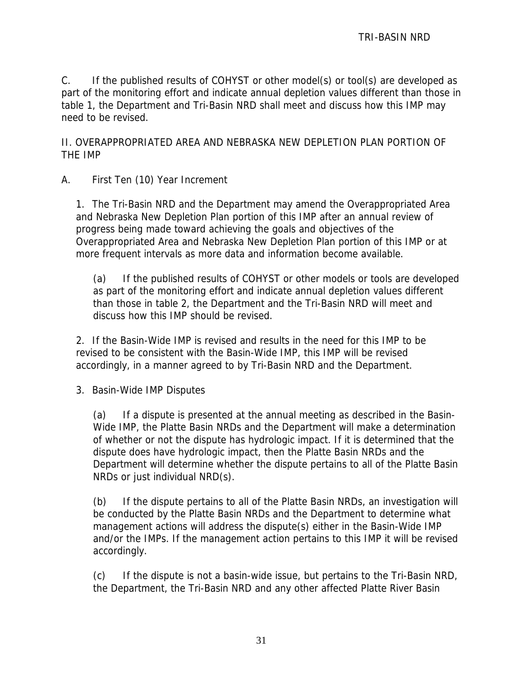C. If the published results of COHYST or other model(s) or tool(s) are developed as part of the monitoring effort and indicate annual depletion values different than those in table 1, the Department and Tri-Basin NRD shall meet and discuss how this IMP may need to be revised.

II. OVERAPPROPRIATED AREA AND NEBRASKA NEW DEPLETION PLAN PORTION OF THE IMP

A. First Ten (10) Year Increment

1. The Tri-Basin NRD and the Department may amend the Overappropriated Area and Nebraska New Depletion Plan portion of this IMP after an annual review of progress being made toward achieving the goals and objectives of the Overappropriated Area and Nebraska New Depletion Plan portion of this IMP or at more frequent intervals as more data and information become available.

(a) If the published results of COHYST or other models or tools are developed as part of the monitoring effort and indicate annual depletion values different than those in table 2, the Department and the Tri-Basin NRD will meet and discuss how this IMP should be revised.

2. If the Basin-Wide IMP is revised and results in the need for this IMP to be revised to be consistent with the Basin-Wide IMP, this IMP will be revised accordingly, in a manner agreed to by Tri-Basin NRD and the Department.

3. Basin-Wide IMP Disputes

(a) If a dispute is presented at the annual meeting as described in the Basin-Wide IMP, the Platte Basin NRDs and the Department will make a determination of whether or not the dispute has hydrologic impact. If it is determined that the dispute does have hydrologic impact, then the Platte Basin NRDs and the Department will determine whether the dispute pertains to all of the Platte Basin NRDs or just individual NRD(s).

(b) If the dispute pertains to all of the Platte Basin NRDs, an investigation will be conducted by the Platte Basin NRDs and the Department to determine what management actions will address the dispute(s) either in the Basin-Wide IMP and/or the IMPs. If the management action pertains to this IMP it will be revised accordingly.

(c) If the dispute is not a basin-wide issue, but pertains to the Tri-Basin NRD, the Department, the Tri-Basin NRD and any other affected Platte River Basin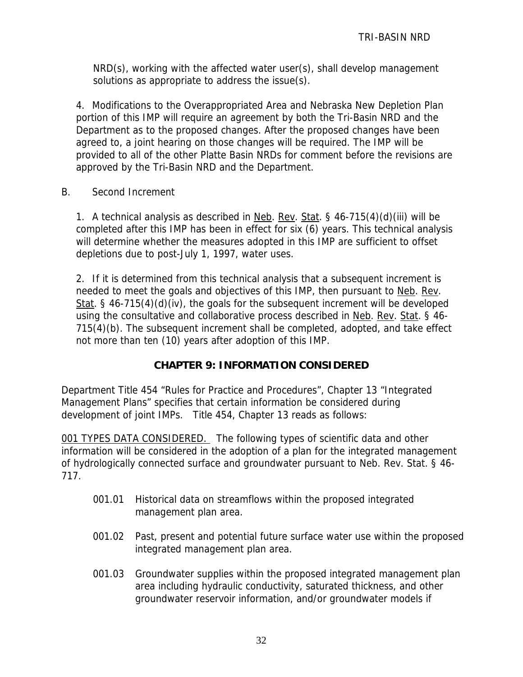NRD(s), working with the affected water user(s), shall develop management solutions as appropriate to address the issue(s).

4. Modifications to the Overappropriated Area and Nebraska New Depletion Plan portion of this IMP will require an agreement by both the Tri-Basin NRD and the Department as to the proposed changes. After the proposed changes have been agreed to, a joint hearing on those changes will be required. The IMP will be provided to all of the other Platte Basin NRDs for comment before the revisions are approved by the Tri-Basin NRD and the Department.

B. Second Increment

1. A technical analysis as described in Neb. Rev. Stat. § 46-715(4)(d)(iii) will be completed after this IMP has been in effect for six (6) years. This technical analysis will determine whether the measures adopted in this IMP are sufficient to offset depletions due to post-July 1, 1997, water uses.

2. If it is determined from this technical analysis that a subsequent increment is needed to meet the goals and objectives of this IMP, then pursuant to Neb. Rev. Stat. § 46-715(4)(d)(iv), the goals for the subsequent increment will be developed using the consultative and collaborative process described in Neb. Rev. Stat. § 46-715(4)(b). The subsequent increment shall be completed, adopted, and take effect not more than ten (10) years after adoption of this IMP.

# **CHAPTER 9: INFORMATION CONSIDERED**

Department Title 454 "Rules for Practice and Procedures", Chapter 13 "Integrated Management Plans" specifies that certain information be considered during development of joint IMPs. Title 454, Chapter 13 reads as follows:

001 TYPES DATA CONSIDERED. The following types of scientific data and other information will be considered in the adoption of a plan for the integrated management of hydrologically connected surface and groundwater pursuant to Neb. Rev. Stat. § 46- 717.

- 001.01 Historical data on streamflows within the proposed integrated management plan area.
- 001.02 Past, present and potential future surface water use within the proposed integrated management plan area.
- 001.03 Groundwater supplies within the proposed integrated management plan area including hydraulic conductivity, saturated thickness, and other groundwater reservoir information, and/or groundwater models if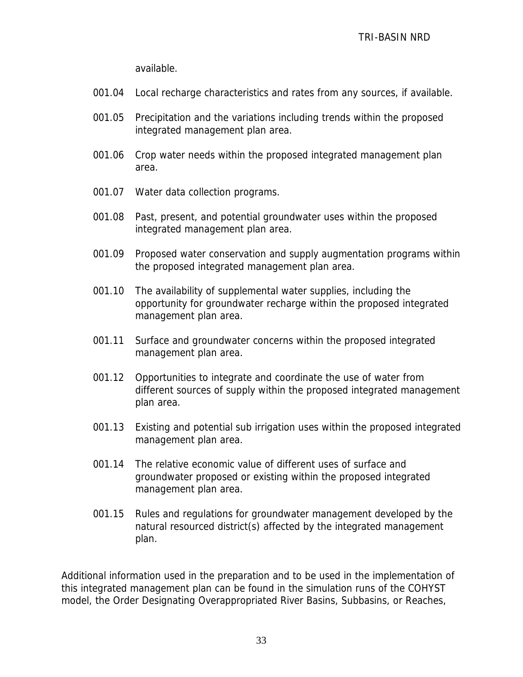available.

- 001.04 Local recharge characteristics and rates from any sources, if available.
- 001.05 Precipitation and the variations including trends within the proposed integrated management plan area.
- 001.06 Crop water needs within the proposed integrated management plan area.
- 001.07 Water data collection programs.
- 001.08 Past, present, and potential groundwater uses within the proposed integrated management plan area.
- 001.09 Proposed water conservation and supply augmentation programs within the proposed integrated management plan area.
- 001.10 The availability of supplemental water supplies, including the opportunity for groundwater recharge within the proposed integrated management plan area.
- 001.11 Surface and groundwater concerns within the proposed integrated management plan area.
- 001.12 Opportunities to integrate and coordinate the use of water from different sources of supply within the proposed integrated management plan area.
- 001.13 Existing and potential sub irrigation uses within the proposed integrated management plan area.
- 001.14 The relative economic value of different uses of surface and groundwater proposed or existing within the proposed integrated management plan area.
- 001.15 Rules and regulations for groundwater management developed by the natural resourced district(s) affected by the integrated management plan.

Additional information used in the preparation and to be used in the implementation of this integrated management plan can be found in the simulation runs of the COHYST model, the Order Designating Overappropriated River Basins, Subbasins, or Reaches,